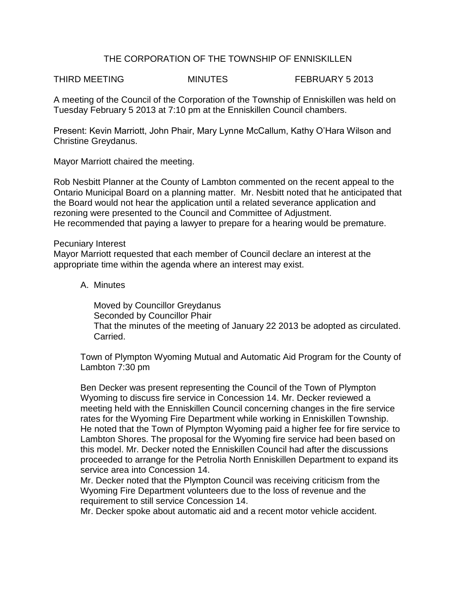# THE CORPORATION OF THE TOWNSHIP OF ENNISKILLEN

THIRD MEETING **MINUTES** FEBRUARY 5 2013

A meeting of the Council of the Corporation of the Township of Enniskillen was held on Tuesday February 5 2013 at 7:10 pm at the Enniskillen Council chambers.

Present: Kevin Marriott, John Phair, Mary Lynne McCallum, Kathy O'Hara Wilson and Christine Greydanus.

Mayor Marriott chaired the meeting.

Rob Nesbitt Planner at the County of Lambton commented on the recent appeal to the Ontario Municipal Board on a planning matter. Mr. Nesbitt noted that he anticipated that the Board would not hear the application until a related severance application and rezoning were presented to the Council and Committee of Adjustment. He recommended that paying a lawyer to prepare for a hearing would be premature.

#### Pecuniary Interest

Mayor Marriott requested that each member of Council declare an interest at the appropriate time within the agenda where an interest may exist.

# A. Minutes

Moved by Councillor Greydanus Seconded by Councillor Phair That the minutes of the meeting of January 22 2013 be adopted as circulated. Carried.

Town of Plympton Wyoming Mutual and Automatic Aid Program for the County of Lambton 7:30 pm

Ben Decker was present representing the Council of the Town of Plympton Wyoming to discuss fire service in Concession 14. Mr. Decker reviewed a meeting held with the Enniskillen Council concerning changes in the fire service rates for the Wyoming Fire Department while working in Enniskillen Township. He noted that the Town of Plympton Wyoming paid a higher fee for fire service to Lambton Shores. The proposal for the Wyoming fire service had been based on this model. Mr. Decker noted the Enniskillen Council had after the discussions proceeded to arrange for the Petrolia North Enniskillen Department to expand its service area into Concession 14.

Mr. Decker noted that the Plympton Council was receiving criticism from the Wyoming Fire Department volunteers due to the loss of revenue and the requirement to still service Concession 14.

Mr. Decker spoke about automatic aid and a recent motor vehicle accident.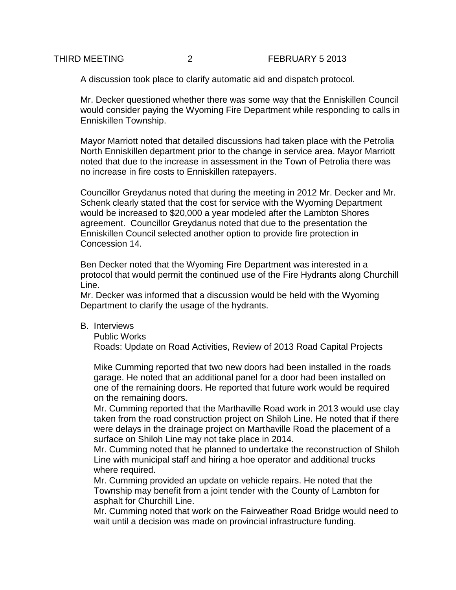#### THIRD MEETING 2 FEBRUARY 5 2013

A discussion took place to clarify automatic aid and dispatch protocol.

Mr. Decker questioned whether there was some way that the Enniskillen Council would consider paying the Wyoming Fire Department while responding to calls in Enniskillen Township.

Mayor Marriott noted that detailed discussions had taken place with the Petrolia North Enniskillen department prior to the change in service area. Mayor Marriott noted that due to the increase in assessment in the Town of Petrolia there was no increase in fire costs to Enniskillen ratepayers.

Councillor Greydanus noted that during the meeting in 2012 Mr. Decker and Mr. Schenk clearly stated that the cost for service with the Wyoming Department would be increased to \$20,000 a year modeled after the Lambton Shores agreement. Councillor Greydanus noted that due to the presentation the Enniskillen Council selected another option to provide fire protection in Concession 14.

Ben Decker noted that the Wyoming Fire Department was interested in a protocol that would permit the continued use of the Fire Hydrants along Churchill Line.

Mr. Decker was informed that a discussion would be held with the Wyoming Department to clarify the usage of the hydrants.

B. Interviews

Public Works

Roads: Update on Road Activities, Review of 2013 Road Capital Projects

Mike Cumming reported that two new doors had been installed in the roads garage. He noted that an additional panel for a door had been installed on one of the remaining doors. He reported that future work would be required on the remaining doors.

Mr. Cumming reported that the Marthaville Road work in 2013 would use clay taken from the road construction project on Shiloh Line. He noted that if there were delays in the drainage project on Marthaville Road the placement of a surface on Shiloh Line may not take place in 2014.

Mr. Cumming noted that he planned to undertake the reconstruction of Shiloh Line with municipal staff and hiring a hoe operator and additional trucks where required.

Mr. Cumming provided an update on vehicle repairs. He noted that the Township may benefit from a joint tender with the County of Lambton for asphalt for Churchill Line.

Mr. Cumming noted that work on the Fairweather Road Bridge would need to wait until a decision was made on provincial infrastructure funding.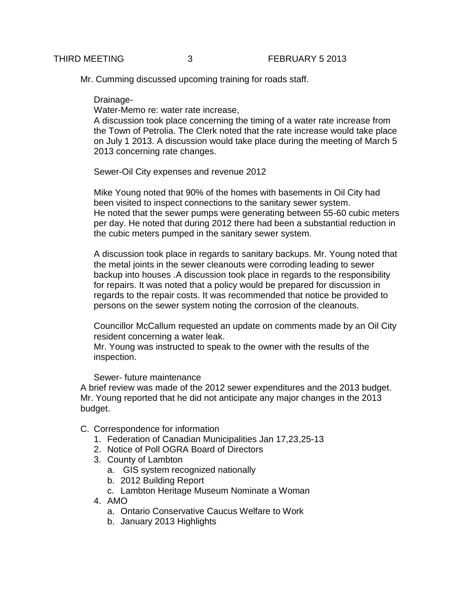Mr. Cumming discussed upcoming training for roads staff.

Drainage-

Water-Memo re: water rate increase,

A discussion took place concerning the timing of a water rate increase from the Town of Petrolia. The Clerk noted that the rate increase would take place on July 1 2013. A discussion would take place during the meeting of March 5 2013 concerning rate changes.

Sewer-Oil City expenses and revenue 2012

Mike Young noted that 90% of the homes with basements in Oil City had been visited to inspect connections to the sanitary sewer system. He noted that the sewer pumps were generating between 55-60 cubic meters per day. He noted that during 2012 there had been a substantial reduction in the cubic meters pumped in the sanitary sewer system.

A discussion took place in regards to sanitary backups. Mr. Young noted that the metal joints in the sewer cleanouts were corroding leading to sewer backup into houses .A discussion took place in regards to the responsibility for repairs. It was noted that a policy would be prepared for discussion in regards to the repair costs. It was recommended that notice be provided to persons on the sewer system noting the corrosion of the cleanouts.

Councillor McCallum requested an update on comments made by an Oil City resident concerning a water leak.

Mr. Young was instructed to speak to the owner with the results of the inspection.

Sewer- future maintenance

A brief review was made of the 2012 sewer expenditures and the 2013 budget. Mr. Young reported that he did not anticipate any major changes in the 2013 budget.

- C. Correspondence for information
	- 1. Federation of Canadian Municipalities Jan 17,23,25-13
	- 2. Notice of Poll OGRA Board of Directors
	- 3. County of Lambton
		- a. GIS system recognized nationally
		- b. 2012 Building Report
		- c. Lambton Heritage Museum Nominate a Woman
	- 4. AMO
		- a. Ontario Conservative Caucus Welfare to Work
		- b. January 2013 Highlights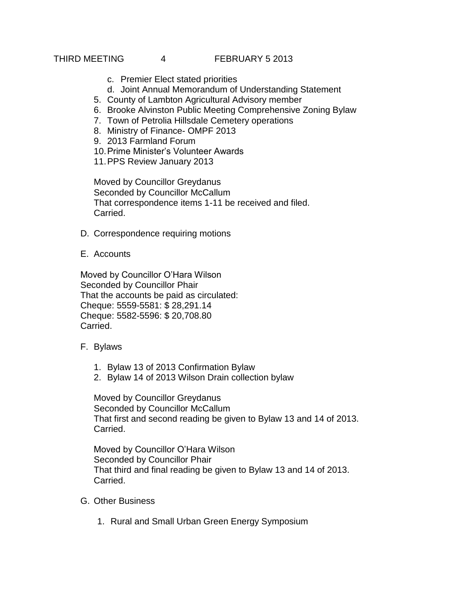### THIRD MEETING 4 FEBRUARY 5 2013

- c. Premier Elect stated priorities
- d. Joint Annual Memorandum of Understanding Statement
- 5. County of Lambton Agricultural Advisory member
- 6. Brooke Alvinston Public Meeting Comprehensive Zoning Bylaw
- 7. Town of Petrolia Hillsdale Cemetery operations
- 8. Ministry of Finance- OMPF 2013
- 9. 2013 Farmland Forum
- 10.Prime Minister's Volunteer Awards
- 11.PPS Review January 2013

Moved by Councillor Greydanus Seconded by Councillor McCallum That correspondence items 1-11 be received and filed. Carried.

- D. Correspondence requiring motions
- E. Accounts

Moved by Councillor O'Hara Wilson Seconded by Councillor Phair That the accounts be paid as circulated: Cheque: 5559-5581: \$ 28,291.14 Cheque: 5582-5596: \$ 20,708.80 Carried.

- F. Bylaws
	- 1. Bylaw 13 of 2013 Confirmation Bylaw
	- 2. Bylaw 14 of 2013 Wilson Drain collection bylaw

Moved by Councillor Greydanus Seconded by Councillor McCallum That first and second reading be given to Bylaw 13 and 14 of 2013. Carried.

Moved by Councillor O'Hara Wilson Seconded by Councillor Phair That third and final reading be given to Bylaw 13 and 14 of 2013. Carried.

- G. Other Business
	- 1. Rural and Small Urban Green Energy Symposium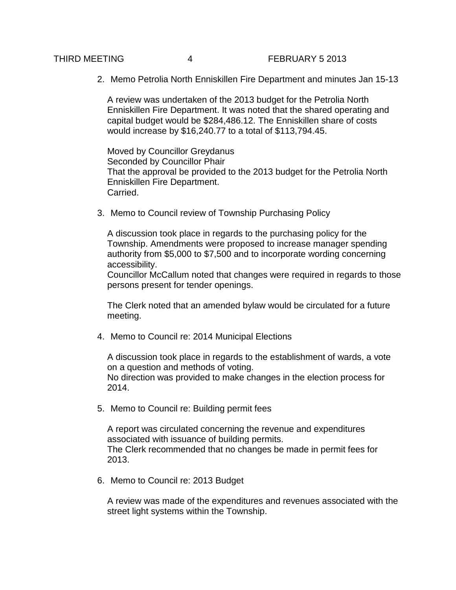2. Memo Petrolia North Enniskillen Fire Department and minutes Jan 15-13

A review was undertaken of the 2013 budget for the Petrolia North Enniskillen Fire Department. It was noted that the shared operating and capital budget would be \$284,486.12. The Enniskillen share of costs would increase by \$16,240.77 to a total of \$113,794.45.

Moved by Councillor Greydanus Seconded by Councillor Phair That the approval be provided to the 2013 budget for the Petrolia North Enniskillen Fire Department. Carried.

3. Memo to Council review of Township Purchasing Policy

A discussion took place in regards to the purchasing policy for the Township. Amendments were proposed to increase manager spending authority from \$5,000 to \$7,500 and to incorporate wording concerning accessibility.

Councillor McCallum noted that changes were required in regards to those persons present for tender openings.

The Clerk noted that an amended bylaw would be circulated for a future meeting.

4. Memo to Council re: 2014 Municipal Elections

A discussion took place in regards to the establishment of wards, a vote on a question and methods of voting.

No direction was provided to make changes in the election process for 2014.

5. Memo to Council re: Building permit fees

A report was circulated concerning the revenue and expenditures associated with issuance of building permits. The Clerk recommended that no changes be made in permit fees for 2013.

6. Memo to Council re: 2013 Budget

A review was made of the expenditures and revenues associated with the street light systems within the Township.